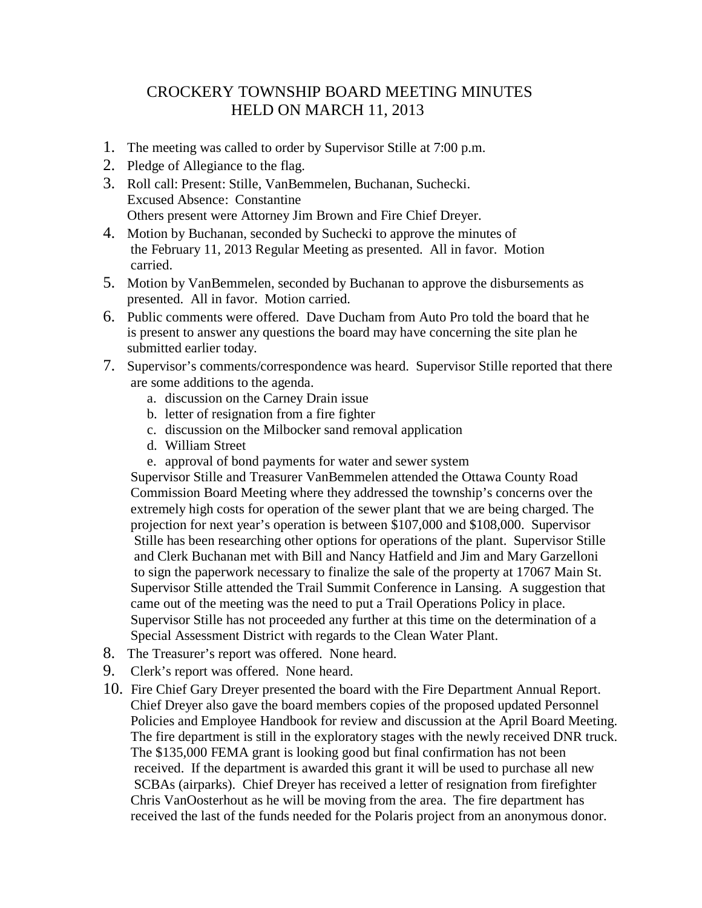## CROCKERY TOWNSHIP BOARD MEETING MINUTES HELD ON MARCH 11, 2013

- 1. The meeting was called to order by Supervisor Stille at 7:00 p.m.
- 2. Pledge of Allegiance to the flag.
- 3. Roll call: Present: Stille, VanBemmelen, Buchanan, Suchecki. Excused Absence: Constantine Others present were Attorney Jim Brown and Fire Chief Dreyer.
- 4. Motion by Buchanan, seconded by Suchecki to approve the minutes of the February 11, 2013 Regular Meeting as presented. All in favor. Motion carried.
- 5. Motion by VanBemmelen, seconded by Buchanan to approve the disbursements as presented. All in favor. Motion carried.
- 6. Public comments were offered. Dave Ducham from Auto Pro told the board that he is present to answer any questions the board may have concerning the site plan he submitted earlier today.
- 7. Supervisor's comments/correspondence was heard. Supervisor Stille reported that there are some additions to the agenda.
	- a. discussion on the Carney Drain issue
	- b. letter of resignation from a fire fighter
	- c. discussion on the Milbocker sand removal application
	- d. William Street
	- e. approval of bond payments for water and sewer system

 Supervisor Stille and Treasurer VanBemmelen attended the Ottawa County Road Commission Board Meeting where they addressed the township's concerns over the extremely high costs for operation of the sewer plant that we are being charged. The projection for next year's operation is between \$107,000 and \$108,000. Supervisor Stille has been researching other options for operations of the plant. Supervisor Stille and Clerk Buchanan met with Bill and Nancy Hatfield and Jim and Mary Garzelloni to sign the paperwork necessary to finalize the sale of the property at 17067 Main St. Supervisor Stille attended the Trail Summit Conference in Lansing. A suggestion that came out of the meeting was the need to put a Trail Operations Policy in place. Supervisor Stille has not proceeded any further at this time on the determination of a Special Assessment District with regards to the Clean Water Plant.

- 8. The Treasurer's report was offered. None heard.
- 9. Clerk's report was offered. None heard.
- 10. Fire Chief Gary Dreyer presented the board with the Fire Department Annual Report. Chief Dreyer also gave the board members copies of the proposed updated Personnel Policies and Employee Handbook for review and discussion at the April Board Meeting. The fire department is still in the exploratory stages with the newly received DNR truck. The \$135,000 FEMA grant is looking good but final confirmation has not been received. If the department is awarded this grant it will be used to purchase all new SCBAs (airparks). Chief Dreyer has received a letter of resignation from firefighter Chris VanOosterhout as he will be moving from the area. The fire department has received the last of the funds needed for the Polaris project from an anonymous donor.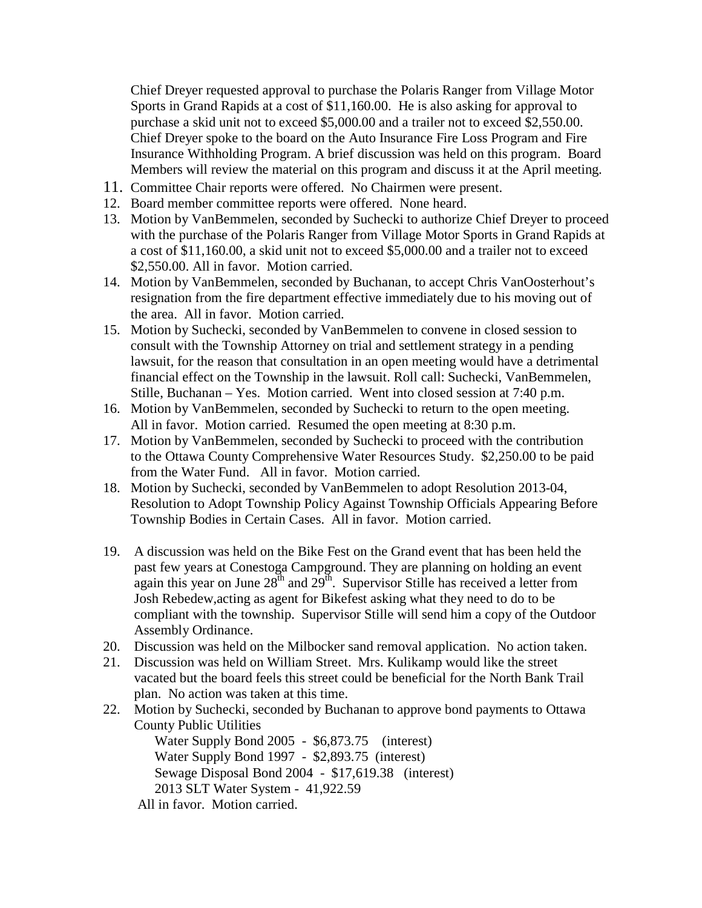Chief Dreyer requested approval to purchase the Polaris Ranger from Village Motor Sports in Grand Rapids at a cost of \$11,160.00. He is also asking for approval to purchase a skid unit not to exceed \$5,000.00 and a trailer not to exceed \$2,550.00. Chief Dreyer spoke to the board on the Auto Insurance Fire Loss Program and Fire Insurance Withholding Program. A brief discussion was held on this program. Board Members will review the material on this program and discuss it at the April meeting.

- 11. Committee Chair reports were offered. No Chairmen were present.
- 12. Board member committee reports were offered. None heard.
- 13. Motion by VanBemmelen, seconded by Suchecki to authorize Chief Dreyer to proceed with the purchase of the Polaris Ranger from Village Motor Sports in Grand Rapids at a cost of \$11,160.00, a skid unit not to exceed \$5,000.00 and a trailer not to exceed \$2,550.00. All in favor. Motion carried.
- 14. Motion by VanBemmelen, seconded by Buchanan, to accept Chris VanOosterhout's resignation from the fire department effective immediately due to his moving out of the area. All in favor. Motion carried.
- 15. Motion by Suchecki, seconded by VanBemmelen to convene in closed session to consult with the Township Attorney on trial and settlement strategy in a pending lawsuit, for the reason that consultation in an open meeting would have a detrimental financial effect on the Township in the lawsuit. Roll call: Suchecki, VanBemmelen, Stille, Buchanan – Yes. Motion carried. Went into closed session at 7:40 p.m.
- 16. Motion by VanBemmelen, seconded by Suchecki to return to the open meeting. All in favor. Motion carried. Resumed the open meeting at 8:30 p.m.
- 17. Motion by VanBemmelen, seconded by Suchecki to proceed with the contribution to the Ottawa County Comprehensive Water Resources Study. \$2,250.00 to be paid from the Water Fund. All in favor. Motion carried.
- 18. Motion by Suchecki, seconded by VanBemmelen to adopt Resolution 2013-04, Resolution to Adopt Township Policy Against Township Officials Appearing Before Township Bodies in Certain Cases. All in favor. Motion carried.
- 19. A discussion was held on the Bike Fest on the Grand event that has been held the past few years at Conestoga Campground. They are planning on holding an event again this year on June  $28<sup>th</sup>$  and  $29<sup>th</sup>$ . Supervisor Stille has received a letter from Josh Rebedew,acting as agent for Bikefest asking what they need to do to be compliant with the township. Supervisor Stille will send him a copy of the Outdoor Assembly Ordinance.
- 20. Discussion was held on the Milbocker sand removal application. No action taken.
- 21. Discussion was held on William Street. Mrs. Kulikamp would like the street vacated but the board feels this street could be beneficial for the North Bank Trail plan. No action was taken at this time.
- 22. Motion by Suchecki, seconded by Buchanan to approve bond payments to Ottawa County Public Utilities

 Water Supply Bond 2005 - \$6,873.75 (interest) Water Supply Bond 1997 - \$2,893.75 (interest) Sewage Disposal Bond 2004 - \$17,619.38 (interest) 2013 SLT Water System - 41,922.59

All in favor. Motion carried.